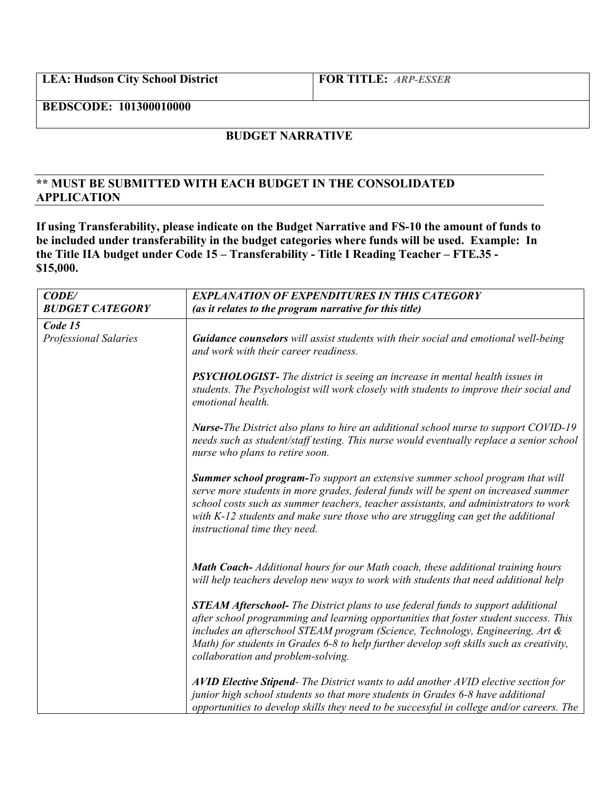**LEA: Hudson City School District FOR TITLE:** *ARP-ESSER*

**BEDSCODE: 101300010000**

## **BUDGET NARRATIVE**

## **\*\* MUST BE SUBMITTED WITH EACH BUDGET IN THE CONSOLIDATED APPLICATION**

**If using Transferability, please indicate on the Budget Narrative and FS-10 the amount of funds to be included under transferability in the budget categories where funds will be used. Example: In the Title IIA budget under Code 15 – Transferability - Title I Reading Teacher – FTE.35 - \$15,000.**

| CODE/                  | <b>EXPLANATION OF EXPENDITURES IN THIS CATEGORY</b>                                                                                                                                                                                                                                                                                                                                                                                                                                                                                       |
|------------------------|-------------------------------------------------------------------------------------------------------------------------------------------------------------------------------------------------------------------------------------------------------------------------------------------------------------------------------------------------------------------------------------------------------------------------------------------------------------------------------------------------------------------------------------------|
| <b>BUDGET CATEGORY</b> | (as it relates to the program narrative for this title)                                                                                                                                                                                                                                                                                                                                                                                                                                                                                   |
| Code 15                |                                                                                                                                                                                                                                                                                                                                                                                                                                                                                                                                           |
| Professional Salaries  | <b>Guidance counselors</b> will assist students with their social and emotional well-being<br>and work with their career readiness.                                                                                                                                                                                                                                                                                                                                                                                                       |
|                        | <b>PSYCHOLOGIST-</b> The district is seeing an increase in mental health issues in<br>students. The Psychologist will work closely with students to improve their social and<br>emotional health.                                                                                                                                                                                                                                                                                                                                         |
|                        | Nurse-The District also plans to hire an additional school nurse to support COVID-19<br>needs such as student/staff testing. This nurse would eventually replace a senior school<br>nurse who plans to retire soon.                                                                                                                                                                                                                                                                                                                       |
|                        | <b>Summer school program-To support an extensive summer school program that will</b><br>serve more students in more grades, federal funds will be spent on increased summer<br>school costs such as summer teachers, teacher assistants, and administrators to work<br>with K-12 students and make sure those who are struggling can get the additional<br>instructional time they need.                                                                                                                                                  |
|                        | Math Coach- Additional hours for our Math coach, these additional training hours<br>will help teachers develop new ways to work with students that need additional help<br><b>STEAM Afterschool-</b> The District plans to use federal funds to support additional<br>after school programming and learning opportunities that foster student success. This<br>includes an afterschool STEAM program (Science, Technology, Engineering, Art &<br>Math) for students in Grades 6-8 to help further develop soft skills such as creativity, |
|                        | collaboration and problem-solving.<br><b>AVID Elective Stipend-</b> The District wants to add another AVID elective section for<br>junior high school students so that more students in Grades 6-8 have additional<br>opportunities to develop skills they need to be successful in college and/or careers. The                                                                                                                                                                                                                           |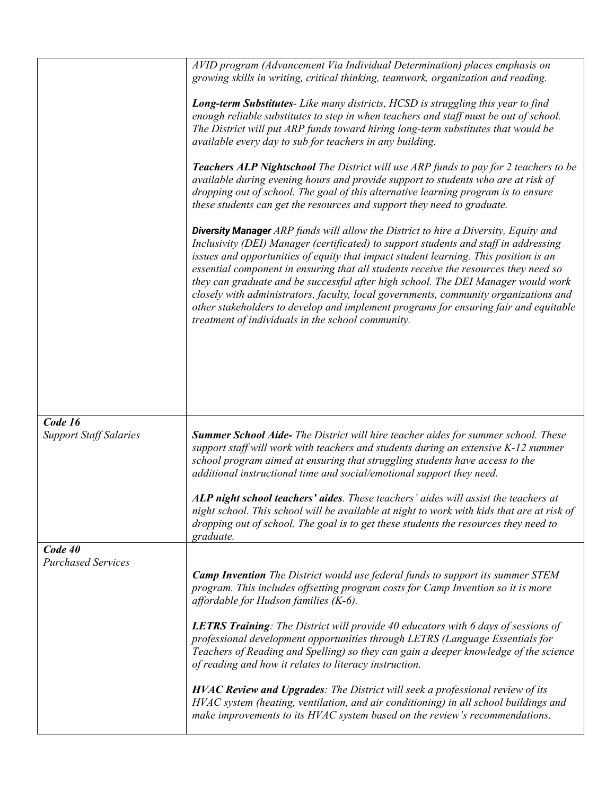|                               | AVID program (Advancement Via Individual Determination) places emphasis on<br>growing skills in writing, critical thinking, teamwork, organization and reading.                                                                                                                                                                                                                                                                                                                                                                                                                                                                                                                              |
|-------------------------------|----------------------------------------------------------------------------------------------------------------------------------------------------------------------------------------------------------------------------------------------------------------------------------------------------------------------------------------------------------------------------------------------------------------------------------------------------------------------------------------------------------------------------------------------------------------------------------------------------------------------------------------------------------------------------------------------|
|                               | <b>Long-term Substitutes-</b> Like many districts, HCSD is struggling this year to find<br>enough reliable substitutes to step in when teachers and staff must be out of school.<br>The District will put ARP funds toward hiring long-term substitutes that would be<br>available every day to sub for teachers in any building.                                                                                                                                                                                                                                                                                                                                                            |
|                               | <b>Teachers ALP Nightschool</b> The District will use ARP funds to pay for 2 teachers to be<br>available during evening hours and provide support to students who are at risk of<br>dropping out of school. The goal of this alternative learning program is to ensure<br>these students can get the resources and support they need to graduate.                                                                                                                                                                                                                                                                                                                                            |
|                               | <b>Diversity Manager</b> ARP funds will allow the District to hire a Diversity, Equity and<br>Inclusivity (DEI) Manager (certificated) to support students and staff in addressing<br>issues and opportunities of equity that impact student learning. This position is an<br>essential component in ensuring that all students receive the resources they need so<br>they can graduate and be successful after high school. The DEI Manager would work<br>closely with administrators, faculty, local governments, community organizations and<br>other stakeholders to develop and implement programs for ensuring fair and equitable<br>treatment of individuals in the school community. |
|                               |                                                                                                                                                                                                                                                                                                                                                                                                                                                                                                                                                                                                                                                                                              |
| Code 16                       |                                                                                                                                                                                                                                                                                                                                                                                                                                                                                                                                                                                                                                                                                              |
| <b>Support Staff Salaries</b> | Summer School Aide- The District will hire teacher aides for summer school. These<br>support staff will work with teachers and students during an extensive K-12 summer<br>school program aimed at ensuring that struggling students have access to the<br>additional instructional time and social/emotional support they need.                                                                                                                                                                                                                                                                                                                                                             |
|                               | ALP night school teachers' aides. These teachers' aides will assist the teachers at<br>night school. This school will be available at night to work with kids that are at risk of<br>dropping out of school. The goal is to get these students the resources they need to<br>graduate.                                                                                                                                                                                                                                                                                                                                                                                                       |
| Code 40                       |                                                                                                                                                                                                                                                                                                                                                                                                                                                                                                                                                                                                                                                                                              |
| <b>Purchased Services</b>     | <b>Camp Invention</b> The District would use federal funds to support its summer STEM<br>program. This includes offsetting program costs for Camp Invention so it is more<br>affordable for Hudson families (K-6).                                                                                                                                                                                                                                                                                                                                                                                                                                                                           |
|                               | <b>LETRS Training:</b> The District will provide 40 educators with 6 days of sessions of<br>professional development opportunities through LETRS (Language Essentials for<br>Teachers of Reading and Spelling) so they can gain a deeper knowledge of the science<br>of reading and how it relates to literacy instruction.                                                                                                                                                                                                                                                                                                                                                                  |
|                               | <b>HVAC Review and Upgrades:</b> The District will seek a professional review of its<br>HVAC system (heating, ventilation, and air conditioning) in all school buildings and<br>make improvements to its HVAC system based on the review's recommendations.                                                                                                                                                                                                                                                                                                                                                                                                                                  |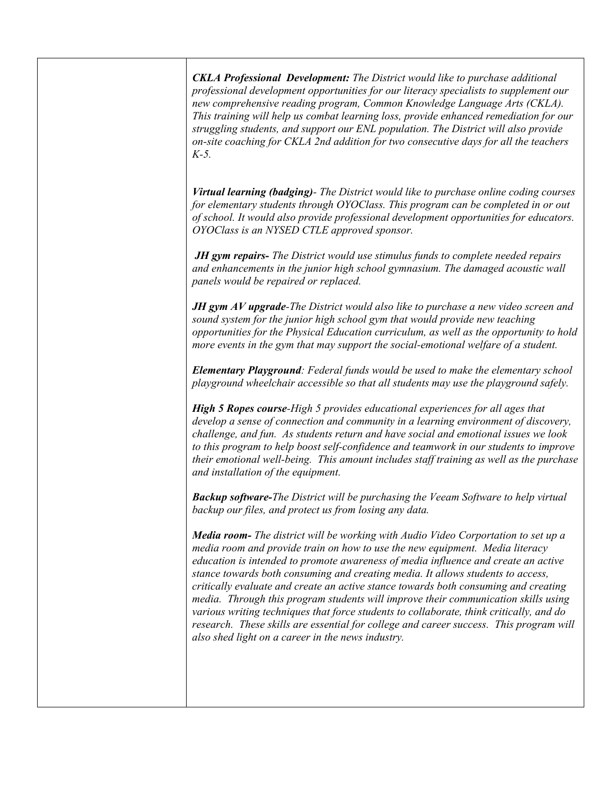| <b>CKLA Professional Development:</b> The District would like to purchase additional<br>professional development opportunities for our literacy specialists to supplement our<br>new comprehensive reading program, Common Knowledge Language Arts (CKLA).<br>This training will help us combat learning loss, provide enhanced remediation for our<br>struggling students, and support our ENL population. The District will also provide<br>on-site coaching for CKLA 2nd addition for two consecutive days for all the teachers<br>$K-5$ .                                                                                                                                                                                                                             |
|---------------------------------------------------------------------------------------------------------------------------------------------------------------------------------------------------------------------------------------------------------------------------------------------------------------------------------------------------------------------------------------------------------------------------------------------------------------------------------------------------------------------------------------------------------------------------------------------------------------------------------------------------------------------------------------------------------------------------------------------------------------------------|
| Virtual learning (badging)- The District would like to purchase online coding courses<br>for elementary students through OYOClass. This program can be completed in or out<br>of school. It would also provide professional development opportunities for educators.<br>OYOClass is an NYSED CTLE approved sponsor.                                                                                                                                                                                                                                                                                                                                                                                                                                                       |
| <b>JH gym repairs-</b> The District would use stimulus funds to complete needed repairs<br>and enhancements in the junior high school gymnasium. The damaged acoustic wall<br>panels would be repaired or replaced.                                                                                                                                                                                                                                                                                                                                                                                                                                                                                                                                                       |
| <b>JH gym AV upgrade-</b> The District would also like to purchase a new video screen and<br>sound system for the junior high school gym that would provide new teaching<br>opportunities for the Physical Education curriculum, as well as the opportunity to hold<br>more events in the gym that may support the social-emotional welfare of a student.                                                                                                                                                                                                                                                                                                                                                                                                                 |
| <b>Elementary Playground</b> : Federal funds would be used to make the elementary school<br>playground wheelchair accessible so that all students may use the playground safely.                                                                                                                                                                                                                                                                                                                                                                                                                                                                                                                                                                                          |
| High 5 Ropes course-High 5 provides educational experiences for all ages that<br>develop a sense of connection and community in a learning environment of discovery,<br>challenge, and fun. As students return and have social and emotional issues we look<br>to this program to help boost self-confidence and teamwork in our students to improve<br>their emotional well-being. This amount includes staff training as well as the purchase<br>and installation of the equipment.                                                                                                                                                                                                                                                                                     |
| <b>Backup software-The District will be purchasing the Veeam Software to help virtual</b><br>backup our files, and protect us from losing any data.                                                                                                                                                                                                                                                                                                                                                                                                                                                                                                                                                                                                                       |
| <b>Media room-</b> The district will be working with Audio Video Corportation to set up a<br>media room and provide train on how to use the new equipment. Media literacy<br>education is intended to promote awareness of media influence and create an active<br>stance towards both consuming and creating media. It allows students to access,<br>critically evaluate and create an active stance towards both consuming and creating<br>media. Through this program students will improve their communication skills using<br>various writing techniques that force students to collaborate, think critically, and do<br>research. These skills are essential for college and career success. This program will<br>also shed light on a career in the news industry. |
|                                                                                                                                                                                                                                                                                                                                                                                                                                                                                                                                                                                                                                                                                                                                                                           |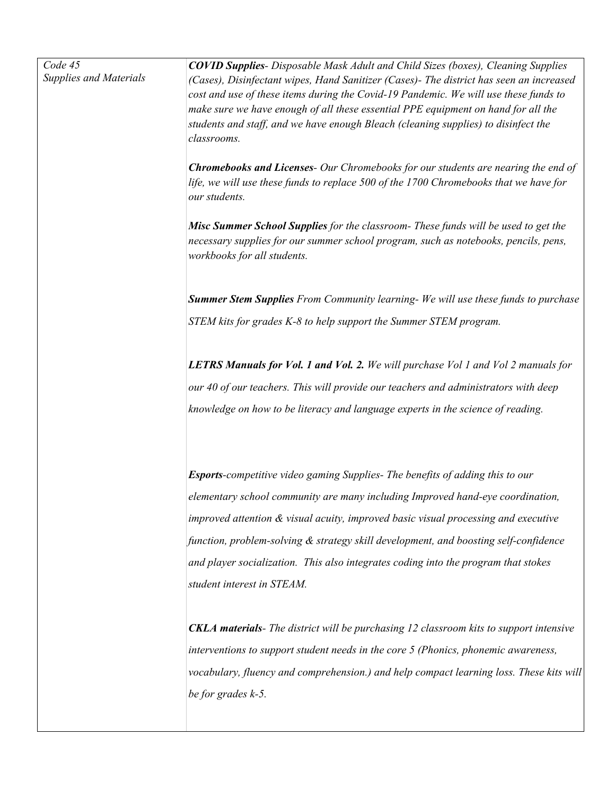| Code 45                       | <b>COVID Supplies-</b> Disposable Mask Adult and Child Sizes (boxes), Cleaning Supplies                                                                                                     |
|-------------------------------|---------------------------------------------------------------------------------------------------------------------------------------------------------------------------------------------|
| <b>Supplies and Materials</b> | (Cases), Disinfectant wipes, Hand Sanitizer (Cases)- The district has seen an increased<br>cost and use of these items during the Covid-19 Pandemic. We will use these funds to             |
|                               | make sure we have enough of all these essential PPE equipment on hand for all the                                                                                                           |
|                               | students and staff, and we have enough Bleach (cleaning supplies) to disinfect the                                                                                                          |
|                               | classrooms.                                                                                                                                                                                 |
|                               | Chromebooks and Licenses- Our Chromebooks for our students are nearing the end of<br>life, we will use these funds to replace 500 of the 1700 Chromebooks that we have for<br>our students. |
|                               | Misc Summer School Supplies for the classroom- These funds will be used to get the                                                                                                          |
|                               | necessary supplies for our summer school program, such as notebooks, pencils, pens,<br>workbooks for all students.                                                                          |
|                               | <b>Summer Stem Supplies</b> From Community learning- We will use these funds to purchase                                                                                                    |
|                               | STEM kits for grades K-8 to help support the Summer STEM program.                                                                                                                           |
|                               | <b>LETRS Manuals for Vol. 1 and Vol. 2.</b> We will purchase Vol 1 and Vol 2 manuals for                                                                                                    |
|                               | our 40 of our teachers. This will provide our teachers and administrators with deep                                                                                                         |
|                               | knowledge on how to be literacy and language experts in the science of reading.                                                                                                             |
|                               | <b>Esports-competitive video gaming Supplies-</b> The benefits of adding this to our                                                                                                        |
|                               | elementary school community are many including Improved hand-eye coordination,                                                                                                              |
|                               | improved attention & visual acuity, improved basic visual processing and executive                                                                                                          |
|                               | function, problem-solving & strategy skill development, and boosting self-confidence                                                                                                        |
|                               | and player socialization. This also integrates coding into the program that stokes                                                                                                          |
|                               | student interest in STEAM.                                                                                                                                                                  |
|                               |                                                                                                                                                                                             |
|                               | <b>CKLA materials-</b> The district will be purchasing 12 classroom kits to support intensive                                                                                               |
|                               | interventions to support student needs in the core 5 (Phonics, phonemic awareness,                                                                                                          |
|                               | vocabulary, fluency and comprehension.) and help compact learning loss. These kits will                                                                                                     |
|                               | be for grades k-5.                                                                                                                                                                          |
|                               |                                                                                                                                                                                             |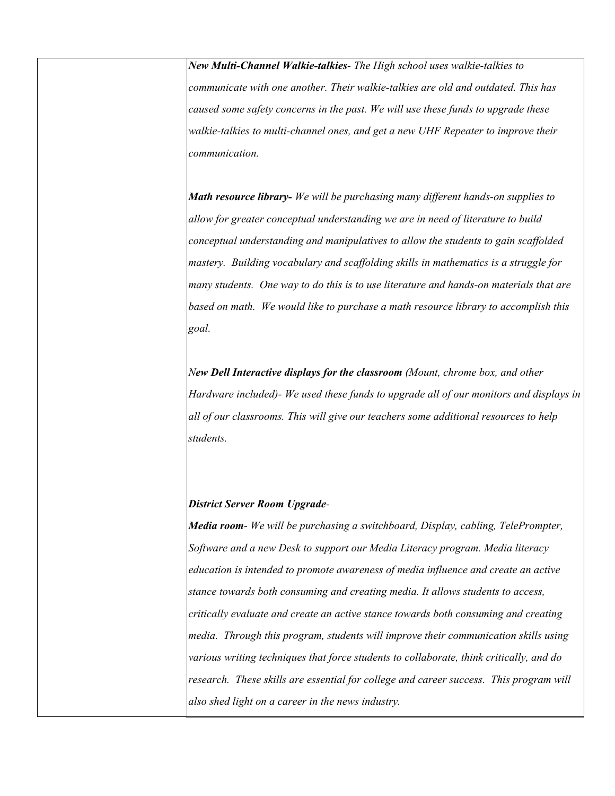*New Multi-Channel Walkie-talkies- The High school uses walkie-talkies to communicate with one another. Their walkie-talkies are old and outdated. This has caused some safety concerns in the past. We will use these funds to upgrade these walkie-talkies to multi-channel ones, and get a new UHF Repeater to improve their communication.*

*Math resource library- We will be purchasing many different hands-on supplies to allow for greater conceptual understanding we are in need of literature to build conceptual understanding and manipulatives to allow the students to gain scaffolded mastery. Building vocabulary and scaffolding skills in mathematics is a struggle for many students. One way to do this is to use literature and hands-on materials that are based on math. We would like to purchase a math resource library to accomplish this goal.*

*New Dell Interactive displays for the classroom (Mount, chrome box, and other Hardware included)- We used these funds to upgrade all of our monitors and displays in all of our classrooms. This will give our teachers some additional resources to help students.* 

## *District Server Room Upgrade-*

*Media room- We will be purchasing a switchboard, Display, cabling, TelePrompter, Software and a new Desk to support our Media Literacy program. Media literacy education is intended to promote awareness of media influence and create an active stance towards both consuming and creating media. It allows students to access, critically evaluate and create an active stance towards both consuming and creating media. Through this program, students will improve their communication skills using various writing techniques that force students to collaborate, think critically, and do*  research. These skills are essential for college and career success. This program will *also shed light on a career in the news industry.*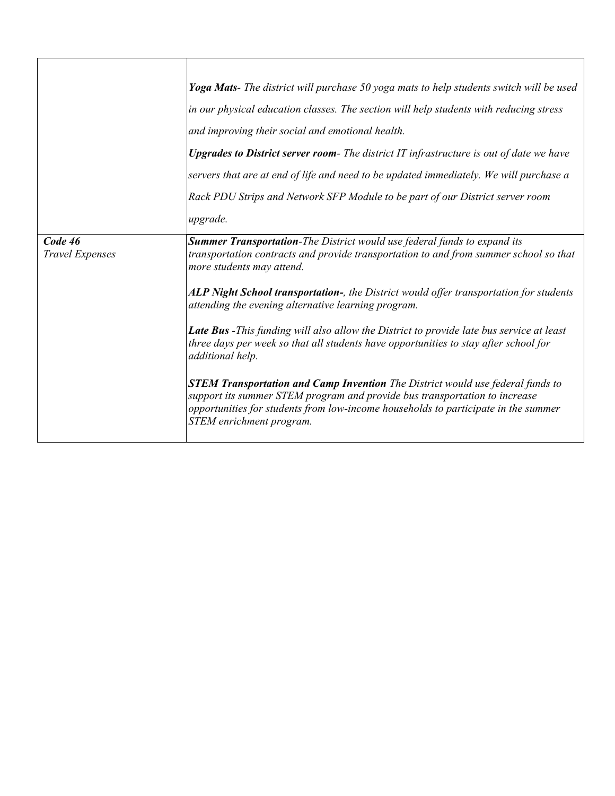|                                   | Yoga Mats- The district will purchase 50 yoga mats to help students switch will be used<br>in our physical education classes. The section will help students with reducing stress<br>and improving their social and emotional health.<br><b>Upgrades to District server room-</b> The district IT infrastructure is out of date we have<br>servers that are at end of life and need to be updated immediately. We will purchase a<br>Rack PDU Strips and Network SFP Module to be part of our District server room |
|-----------------------------------|--------------------------------------------------------------------------------------------------------------------------------------------------------------------------------------------------------------------------------------------------------------------------------------------------------------------------------------------------------------------------------------------------------------------------------------------------------------------------------------------------------------------|
|                                   | upgrade.                                                                                                                                                                                                                                                                                                                                                                                                                                                                                                           |
| Code 46<br><b>Travel Expenses</b> | <b>Summer Transportation-</b> The District would use federal funds to expand its<br>transportation contracts and provide transportation to and from summer school so that<br>more students may attend.                                                                                                                                                                                                                                                                                                             |
|                                   | ALP Night School transportation-, the District would offer transportation for students<br>attending the evening alternative learning program.                                                                                                                                                                                                                                                                                                                                                                      |
|                                   | <b>Late Bus</b> -This funding will also allow the District to provide late bus service at least<br>three days per week so that all students have opportunities to stay after school for<br>additional help.                                                                                                                                                                                                                                                                                                        |
|                                   | <b>STEM Transportation and Camp Invention</b> The District would use federal funds to<br>support its summer STEM program and provide bus transportation to increase<br>opportunities for students from low-income households to participate in the summer<br>STEM enrichment program.                                                                                                                                                                                                                              |

٦